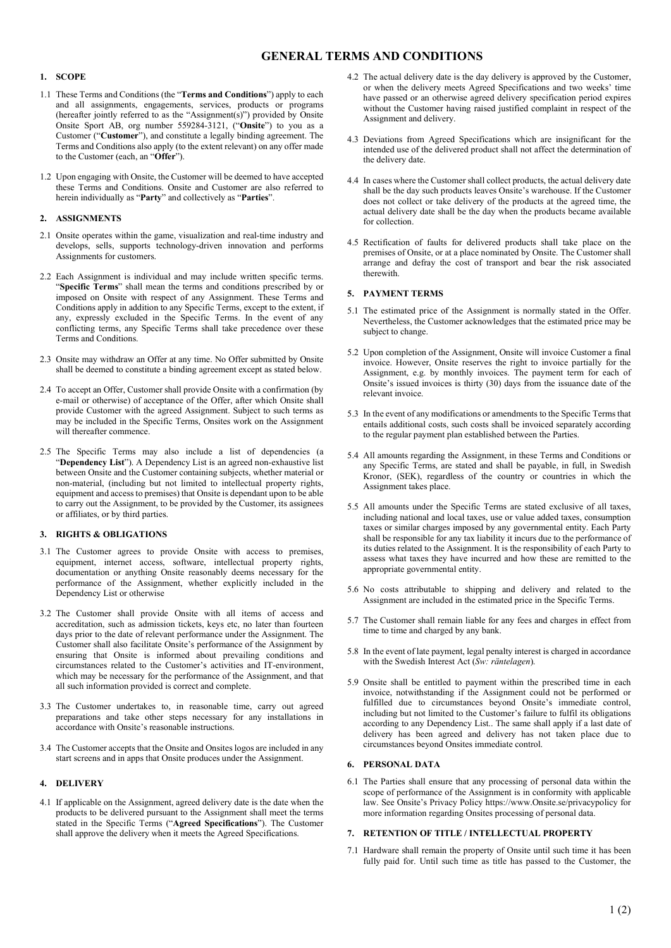# GENERAL TERMS AND CONDITIONS

## 1. SCOPE

- 1.1 These Terms and Conditions (the "Terms and Conditions") apply to each and all assignments, engagements, services, products or programs (hereafter jointly referred to as the "Assignment(s)") provided by Onsite Onsite Sport AB, org number 559284-3121, ("Onsite") to you as a Customer ("Customer"), and constitute a legally binding agreement. The Terms and Conditions also apply (to the extent relevant) on any offer made to the Customer (each, an "Offer").
- 1.2 Upon engaging with Onsite, the Customer will be deemed to have accepted these Terms and Conditions. Onsite and Customer are also referred to herein individually as "Party" and collectively as "Parties".

## 2. ASSIGNMENTS

- 2.1 Onsite operates within the game, visualization and real-time industry and develops, sells, supports technology-driven innovation and performs Assignments for customers.
- 2.2 Each Assignment is individual and may include written specific terms. "Specific Terms" shall mean the terms and conditions prescribed by or imposed on Onsite with respect of any Assignment. These Terms and Conditions apply in addition to any Specific Terms, except to the extent, if any, expressly excluded in the Specific Terms. In the event of any conflicting terms, any Specific Terms shall take precedence over these Terms and Conditions.
- 2.3 Onsite may withdraw an Offer at any time. No Offer submitted by Onsite shall be deemed to constitute a binding agreement except as stated below.
- 2.4 To accept an Offer, Customer shall provide Onsite with a confirmation (by e-mail or otherwise) of acceptance of the Offer, after which Onsite shall provide Customer with the agreed Assignment. Subject to such terms as may be included in the Specific Terms, Onsites work on the Assignment will thereafter commence.
- 2.5 The Specific Terms may also include a list of dependencies (a "Dependency List"). A Dependency List is an agreed non-exhaustive list between Onsite and the Customer containing subjects, whether material or non-material, (including but not limited to intellectual property rights, equipment and access to premises) that Onsite is dependant upon to be able to carry out the Assignment, to be provided by the Customer, its assignees or affiliates, or by third parties.

## 3. RIGHTS & OBLIGATIONS

- 3.1 The Customer agrees to provide Onsite with access to premises, equipment, internet access, software, intellectual property rights, documentation or anything Onsite reasonably deems necessary for the performance of the Assignment, whether explicitly included in the Dependency List or otherwise
- 3.2 The Customer shall provide Onsite with all items of access and accreditation, such as admission tickets, keys etc, no later than fourteen days prior to the date of relevant performance under the Assignment. The Customer shall also facilitate Onsite's performance of the Assignment by ensuring that Onsite is informed about prevailing conditions and circumstances related to the Customer's activities and IT-environment, which may be necessary for the performance of the Assignment, and that all such information provided is correct and complete.
- 3.3 The Customer undertakes to, in reasonable time, carry out agreed preparations and take other steps necessary for any installations in accordance with Onsite's reasonable instructions.
- 3.4 The Customer accepts that the Onsite and Onsites logos are included in any start screens and in apps that Onsite produces under the Assignment.

# 4. DELIVERY

4.1 If applicable on the Assignment, agreed delivery date is the date when the products to be delivered pursuant to the Assignment shall meet the terms stated in the Specific Terms ("Agreed Specifications"). The Customer shall approve the delivery when it meets the Agreed Specifications.

- 4.2 The actual delivery date is the day delivery is approved by the Customer, or when the delivery meets Agreed Specifications and two weeks' time have passed or an otherwise agreed delivery specification period expires without the Customer having raised justified complaint in respect of the Assignment and delivery.
- 4.3 Deviations from Agreed Specifications which are insignificant for the intended use of the delivered product shall not affect the determination of the delivery date.
- 4.4 In cases where the Customer shall collect products, the actual delivery date shall be the day such products leaves Onsite's warehouse. If the Customer does not collect or take delivery of the products at the agreed time, the actual delivery date shall be the day when the products became available for collection.
- 4.5 Rectification of faults for delivered products shall take place on the premises of Onsite, or at a place nominated by Onsite. The Customer shall arrange and defray the cost of transport and bear the risk associated therewith.

## 5. PAYMENT TERMS

- 5.1 The estimated price of the Assignment is normally stated in the Offer. Nevertheless, the Customer acknowledges that the estimated price may be subject to change.
- 5.2 Upon completion of the Assignment, Onsite will invoice Customer a final invoice. However, Onsite reserves the right to invoice partially for the Assignment, e.g. by monthly invoices. The payment term for each of Onsite's issued invoices is thirty (30) days from the issuance date of the relevant invoice.
- 5.3 In the event of any modifications or amendments to the Specific Terms that entails additional costs, such costs shall be invoiced separately according to the regular payment plan established between the Parties.
- 5.4 All amounts regarding the Assignment, in these Terms and Conditions or any Specific Terms, are stated and shall be payable, in full, in Swedish Kronor, (SEK), regardless of the country or countries in which the Assignment takes place.
- 5.5 All amounts under the Specific Terms are stated exclusive of all taxes, including national and local taxes, use or value added taxes, consumption taxes or similar charges imposed by any governmental entity. Each Party shall be responsible for any tax liability it incurs due to the performance of its duties related to the Assignment. It is the responsibility of each Party to assess what taxes they have incurred and how these are remitted to the appropriate governmental entity.
- 5.6 No costs attributable to shipping and delivery and related to the Assignment are included in the estimated price in the Specific Terms.
- 5.7 The Customer shall remain liable for any fees and charges in effect from time to time and charged by any bank.
- 5.8 In the event of late payment, legal penalty interest is charged in accordance with the Swedish Interest Act (Sw: räntelagen).
- 5.9 Onsite shall be entitled to payment within the prescribed time in each invoice, notwithstanding if the Assignment could not be performed or fulfilled due to circumstances beyond Onsite's immediate control, including but not limited to the Customer's failure to fulfil its obligations according to any Dependency List.. The same shall apply if a last date of delivery has been agreed and delivery has not taken place due to circumstances beyond Onsites immediate control.

#### 6. PERSONAL DATA

6.1 The Parties shall ensure that any processing of personal data within the scope of performance of the Assignment is in conformity with applicable law. See Onsite's Privacy Policy https://www.Onsite.se/privacypolicy for more information regarding Onsites processing of personal data.

#### 7. RETENTION OF TITLE / INTELLECTUAL PROPERTY

7.1 Hardware shall remain the property of Onsite until such time it has been fully paid for. Until such time as title has passed to the Customer, the